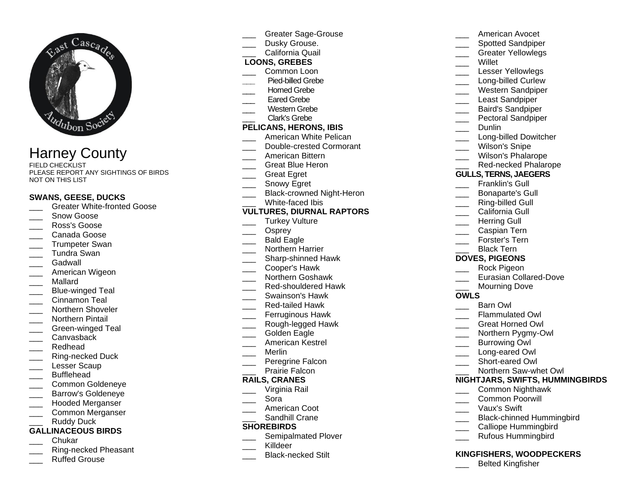

# Harney County

FIELD CHECKLIST PLEASE REPORT ANY SIGHTINGS OF BIRDS NOT ON THIS LIST

### **SWANS, GEESE, DUCKS**

- \_\_\_ Greater White-fronted Goose
- Snow Goose
- \_\_\_ Ross's Goose
- \_\_\_ Canada Goose
- \_\_\_ Trumpeter Swan
- \_\_\_ Tundra Swan
- \_\_\_ Gadwall
- American Wigeon
- \_\_\_ Mallard
- Blue-winged Teal
- Cinnamon Teal
- Northern Shoveler
- \_\_\_ Northern Pintail
- Green-winged Teal
- Canvasback
- \_\_\_ Redhead
- Ring-necked Duck
- Lesser Scaup
- **Bufflehead**
- \_\_\_ Common Goldeneye
- \_\_\_ Barrow's Goldeneye
- \_\_\_ Hooded Merganser \_\_\_ Common Merganser Ruddy Duck

### **GALLINACEOUS BIRDS**

- \_\_\_ Chukar
- \_\_\_ Ring-necked Pheasant
- \_\_\_ Ruffed Grouse
- \_\_\_ Greater Sage-Grouse Dusky Grouse. California Quail **LOONS, GREBES** Common Loon **\_\_\_** Pied-billed Grebe Horned Grebe Eared Grebe Western Grebe Clark's Grebe **PELICANS, HERONS, IBIS** American White Pelican Double-crested Cormorant \_\_\_ American Bittern \_\_\_ Great Blue Heron \_\_\_ Great Egret Snowy Egret Black-crowned Night-Heron White-faced Ibis **VULTURES, DIURNAL RAPTORS** Turkey Vulture Osprey Bald Eagle \_\_\_ Northern Harrier \_\_\_ Sharp-shinned Hawk \_\_\_ Cooper's Hawk \_\_\_ Northern Goshawk Red-shouldered Hawk \_\_\_ Swainson's Hawk \_\_\_ Red-tailed Hawk Ferruginous Hawk \_\_\_ Rough-legged Hawk Golden Eagle \_\_\_ American Kestrel
	- \_\_\_ Merlin
	- Peregrine Falcon
	- Prairie Falcon

### **RAILS, CRANES**

- \_\_\_ Virginia Rail
- \_\_\_ Sora
- American Coot
- Sandhill Crane

### **SHOREBIRDS**

- Semipalmated Plover
- Killdeer
- \_\_\_ Black-necked Stilt
- \_\_\_ American Avocet Spotted Sandpiper \_\_\_ Greater Yellowlegs \_\_\_ Willet Lesser Yellowlegs Long-billed Curlew \_\_\_ Western Sandpiper Least Sandpiper \_\_\_ Baird's Sandpiper Pectoral Sandpiper \_\_\_ Dunlin Long-billed Dowitcher Wilson's Snipe Wilson's Phalarope Red-necked Phalarope **GULLS, TERNS, JAEGERS** Franklin's Gull \_\_\_ Bonaparte's Gull Ring-billed Gull California Gull Herring Gull \_\_\_ Caspian Tern Forster's Tern Black Tern **DOVES, PIGEONS** \_\_\_ Rock Pigeon Eurasian Collared-Dove Mourning Dove **OWLS** Barn Owl Flammulated Owl \_\_\_ Great Horned Owl Northern Pygmy-Owl Burrowing Owl Long-eared Owl Short-eared Owl Northern Saw-whet Owl **NIGHTJARS, SWIFTS, HUMMINGBIRDS** \_\_\_ Common Nighthawk \_\_\_ Common Poorwill \_\_\_ Vaux's Swift Black-chinned Hummingbird Calliope Hummingbird \_\_\_ Rufous Hummingbird
- **KINGFISHERS, WOODPECKERS**
	- \_\_\_ Belted Kingfisher